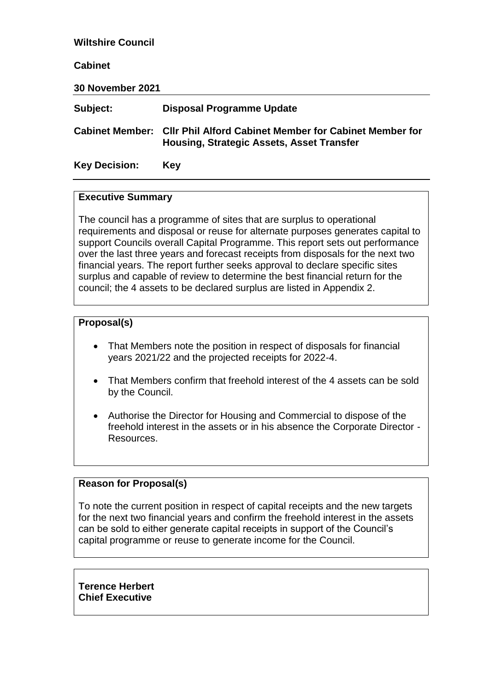| <b>Wiltshire Council</b> |                                                                                                                     |
|--------------------------|---------------------------------------------------------------------------------------------------------------------|
| <b>Cabinet</b>           |                                                                                                                     |
| <b>30 November 2021</b>  |                                                                                                                     |
| Subject:                 | <b>Disposal Programme Update</b>                                                                                    |
|                          | Cabinet Member: Cllr Phil Alford Cabinet Member for Cabinet Member for<br>Housing, Strategic Assets, Asset Transfer |
| <b>Key Decision:</b>     | <b>Key</b>                                                                                                          |

#### **Executive Summary**

The council has a programme of sites that are surplus to operational requirements and disposal or reuse for alternate purposes generates capital to support Councils overall Capital Programme. This report sets out performance over the last three years and forecast receipts from disposals for the next two financial years. The report further seeks approval to declare specific sites surplus and capable of review to determine the best financial return for the council; the 4 assets to be declared surplus are listed in Appendix 2.

#### **Proposal(s)**

- That Members note the position in respect of disposals for financial years 2021/22 and the projected receipts for 2022-4.
- That Members confirm that freehold interest of the 4 assets can be sold by the Council.
- Authorise the Director for Housing and Commercial to dispose of the freehold interest in the assets or in his absence the Corporate Director - Resources.

#### **Reason for Proposal(s)**

To note the current position in respect of capital receipts and the new targets for the next two financial years and confirm the freehold interest in the assets can be sold to either generate capital receipts in support of the Council's capital programme or reuse to generate income for the Council.

**Terence Herbert Chief Executive**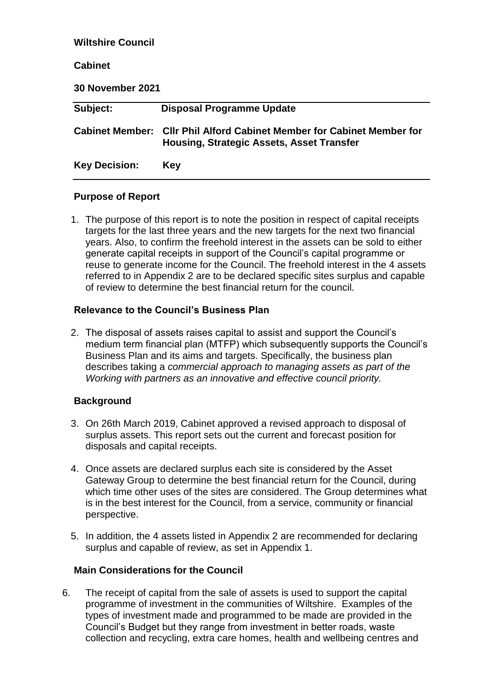| <b>Wiltshire Council</b> |                                                                                                            |  |  |  |  |  |
|--------------------------|------------------------------------------------------------------------------------------------------------|--|--|--|--|--|
| <b>Cabinet</b>           |                                                                                                            |  |  |  |  |  |
| <b>30 November 2021</b>  |                                                                                                            |  |  |  |  |  |
| Subject:                 | <b>Disposal Programme Update</b>                                                                           |  |  |  |  |  |
| <b>Cabinet Member:</b>   | <b>CIIr Phil Alford Cabinet Member for Cabinet Member for</b><br>Housing, Strategic Assets, Asset Transfer |  |  |  |  |  |
| <b>Key Decision:</b>     | Key                                                                                                        |  |  |  |  |  |

### **Purpose of Report**

1. The purpose of this report is to note the position in respect of capital receipts targets for the last three years and the new targets for the next two financial years. Also, to confirm the freehold interest in the assets can be sold to either generate capital receipts in support of the Council's capital programme or reuse to generate income for the Council. The freehold interest in the 4 assets referred to in Appendix 2 are to be declared specific sites surplus and capable of review to determine the best financial return for the council.

## **Relevance to the Council's Business Plan**

2. The disposal of assets raises capital to assist and support the Council's medium term financial plan (MTFP) which subsequently supports the Council's Business Plan and its aims and targets. Specifically, the business plan describes taking a *commercial approach to managing assets as part of the Working with partners as an innovative and effective council priority.*

# **Background**

- 3. On 26th March 2019, Cabinet approved a revised approach to disposal of surplus assets. This report sets out the current and forecast position for disposals and capital receipts.
- 4. Once assets are declared surplus each site is considered by the Asset Gateway Group to determine the best financial return for the Council, during which time other uses of the sites are considered. The Group determines what is in the best interest for the Council, from a service, community or financial perspective.
- 5. In addition, the 4 assets listed in Appendix 2 are recommended for declaring surplus and capable of review, as set in Appendix 1.

### **Main Considerations for the Council**

6. The receipt of capital from the sale of assets is used to support the capital programme of investment in the communities of Wiltshire. Examples of the types of investment made and programmed to be made are provided in the Council's Budget but they range from investment in better roads, waste collection and recycling, extra care homes, health and wellbeing centres and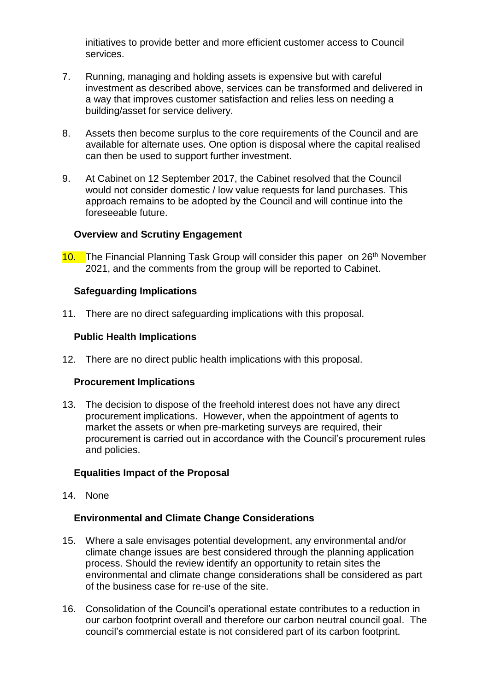initiatives to provide better and more efficient customer access to Council services.

- 7. Running, managing and holding assets is expensive but with careful investment as described above, services can be transformed and delivered in a way that improves customer satisfaction and relies less on needing a building/asset for service delivery.
- 8. Assets then become surplus to the core requirements of the Council and are available for alternate uses. One option is disposal where the capital realised can then be used to support further investment.
- 9. At Cabinet on 12 September 2017, the Cabinet resolved that the Council would not consider domestic / low value requests for land purchases. This approach remains to be adopted by the Council and will continue into the foreseeable future.

### **Overview and Scrutiny Engagement**

10. The Financial Planning Task Group will consider this paper on 26<sup>th</sup> November 2021, and the comments from the group will be reported to Cabinet.

## **Safeguarding Implications**

11. There are no direct safeguarding implications with this proposal.

### **Public Health Implications**

12. There are no direct public health implications with this proposal.

### **Procurement Implications**

13. The decision to dispose of the freehold interest does not have any direct procurement implications. However, when the appointment of agents to market the assets or when pre-marketing surveys are required, their procurement is carried out in accordance with the Council's procurement rules and policies.

## **Equalities Impact of the Proposal**

14. None

### **Environmental and Climate Change Considerations**

- 15. Where a sale envisages potential development, any environmental and/or climate change issues are best considered through the planning application process. Should the review identify an opportunity to retain sites the environmental and climate change considerations shall be considered as part of the business case for re-use of the site.
- 16. Consolidation of the Council's operational estate contributes to a reduction in our carbon footprint overall and therefore our carbon neutral council goal. The council's commercial estate is not considered part of its carbon footprint.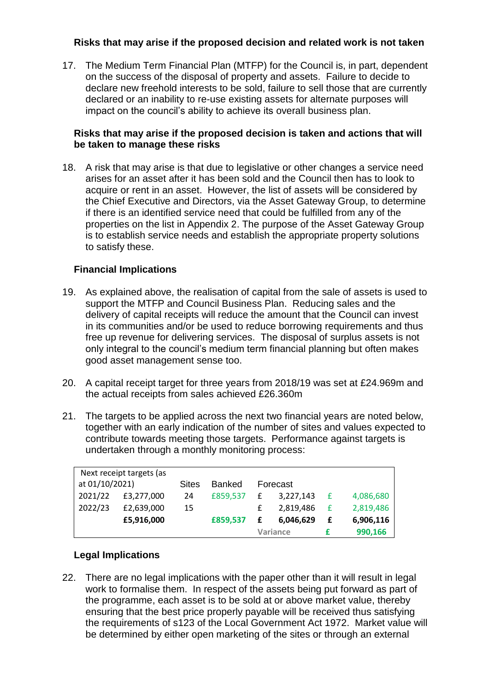## **Risks that may arise if the proposed decision and related work is not taken**

17. The Medium Term Financial Plan (MTFP) for the Council is, in part, dependent on the success of the disposal of property and assets. Failure to decide to declare new freehold interests to be sold, failure to sell those that are currently declared or an inability to re-use existing assets for alternate purposes will impact on the council's ability to achieve its overall business plan.

### **Risks that may arise if the proposed decision is taken and actions that will be taken to manage these risks**

18. A risk that may arise is that due to legislative or other changes a service need arises for an asset after it has been sold and the Council then has to look to acquire or rent in an asset. However, the list of assets will be considered by the Chief Executive and Directors, via the Asset Gateway Group, to determine if there is an identified service need that could be fulfilled from any of the properties on the list in Appendix 2. The purpose of the Asset Gateway Group is to establish service needs and establish the appropriate property solutions to satisfy these.

# **Financial Implications**

- 19. As explained above, the realisation of capital from the sale of assets is used to support the MTFP and Council Business Plan. Reducing sales and the delivery of capital receipts will reduce the amount that the Council can invest in its communities and/or be used to reduce borrowing requirements and thus free up revenue for delivering services. The disposal of surplus assets is not only integral to the council's medium term financial planning but often makes good asset management sense too.
- 20. A capital receipt target for three years from 2018/19 was set at £24.969m and the actual receipts from sales achieved £26.360m
- 21. The targets to be applied across the next two financial years are noted below, together with an early indication of the number of sites and values expected to contribute towards meeting those targets. Performance against targets is undertaken through a monthly monitoring process:

|                                            | £5,916,000 |              | £859.537 |          | 6,046,629<br>Variance | £ | 6,906,116<br>990,166 |
|--------------------------------------------|------------|--------------|----------|----------|-----------------------|---|----------------------|
| 2022/23                                    | £2,639,000 | 15           |          |          | 2,819,486             | £ | 2,819,486            |
| 2021/22                                    | £3,277,000 | 24           | £859,537 | f        | 3,227,143             | £ | 4,086,680            |
| Next receipt targets (as<br>at 01/10/2021) |            | <b>Sites</b> | Banked   | Forecast |                       |   |                      |

# **Legal Implications**

22. There are no legal implications with the paper other than it will result in legal work to formalise them. In respect of the assets being put forward as part of the programme, each asset is to be sold at or above market value, thereby ensuring that the best price properly payable will be received thus satisfying the requirements of s123 of the Local Government Act 1972. Market value will be determined by either open marketing of the sites or through an external